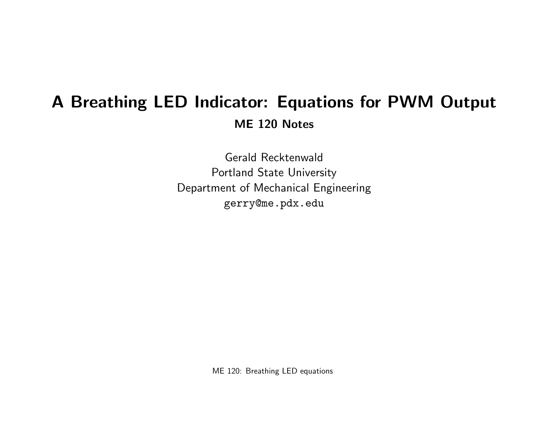# A Breathing LED Indicator: Equations for PWM Output ME 120 Notes

Gerald Recktenwald Portland State University Department of Mechanical Engineering gerry@me.pdx.edu

ME 120: Breathing LED equations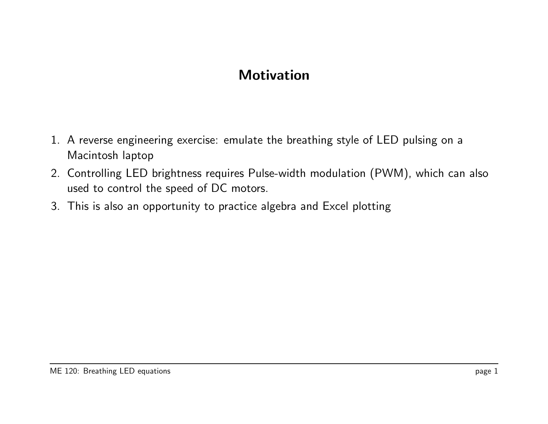# **Motivation**

- 1. A reverse engineering exercise: emulate the breathing style of LED pulsing on a Macintosh laptop
- 2. Controlling LED brightness requires Pulse-width modulation (PWM), which can also used to control the speed of DC motors.
- 3. This is also an opportunity to practice algebra and Excel plotting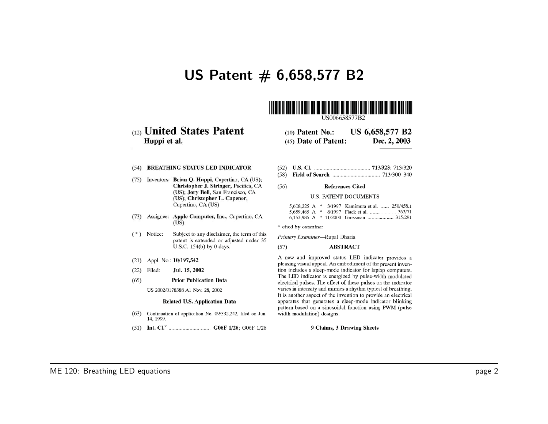### US Patent  $# 6,658,577 B2$



US006658577B2

#### (12) United States Patent Huppi et al.

US 6,658,577 B2  $(10)$  Patent No.: (45) Date of Patent: Dec. 2, 2003

#### (54) BREATHING STATUS LED INDICATOR

- (75) Inventors: Brian Q. Huppi, Cupertino, CA (US); Christopher J. Stringer, Pacifica, CA (US); Jory Bell, San Francisco, CA (US); Christopher L. Capener, Cupertino, CA (US)
- (73) Assignee: Apple Computer, Inc., Cupertino, CA  $(US)$
- $(*)$  Notice: Subject to any disclaimer, the term of this patent is extended or adjusted under 35 U.S.C. 154(b) by 0 days.
- (21) Appl. No.: 10/197,542
- Jul. 15, 2002  $(22)$  Filed:
- $(65)$ **Prior Publication Data**

US 2002/0178388 A1 Nov. 28, 2002

#### Related U.S. Application Data

- (63) Continuation of application No. 09/332,242, filed on Jun. 14, 1999.
- 
- 
- $(56)$ **References Cited**

#### **U.S. PATENT DOCUMENTS**

|  |  | 5,608,225 A * 3/1997 Kamimura et al.  250/458.1 |
|--|--|-------------------------------------------------|
|  |  | 5,659,465 A * 8/1997 Flack et al.  363/71       |
|  |  | 6,153,985 A $*$ 11/2000 Grossman  315/291       |

- \* cited by examiner
- Primary Examiner-Rupal Dharia
- **ABSTRACT**  $(57)$

A new and improved status LED indicator provides a pleasing visual appeal. An embodiment of the present invention includes a sleep-mode indicator for laptop computers. The LED indicator is energized by pulse-width modulated electrical pulses. The effect of these pulses on the indicator varies in intensity and mimics a rhythm typical of breathing. It is another aspect of the invention to provide an electrical apparatus that generates a sleep-mode indicator blinking pattern based on a sinusoidal function using PWM (pulse width modulation) designs.

9 Claims, 3 Drawing Sheets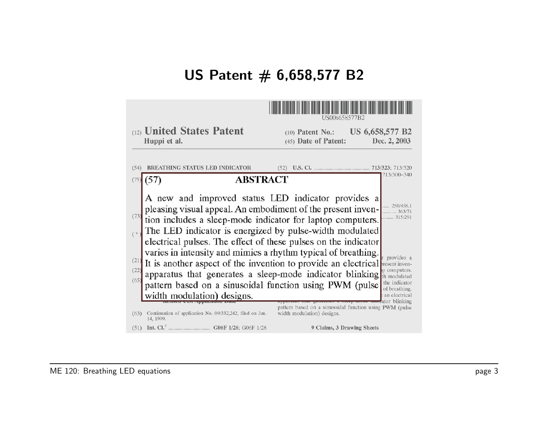# US Patent  $# 6,658,577 B2$

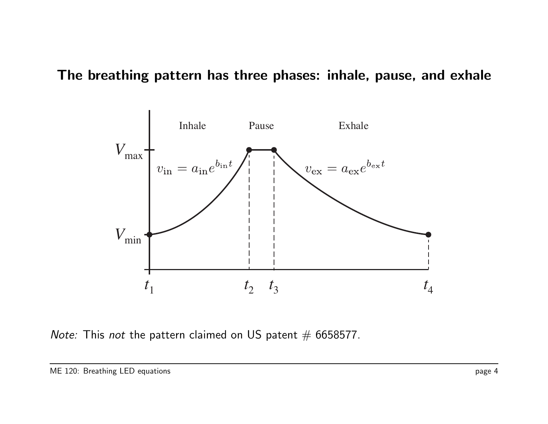### The breathing pattern has three phases: inhale, pause, and exhale



Note: This not the pattern claimed on US patent  $#$  6658577.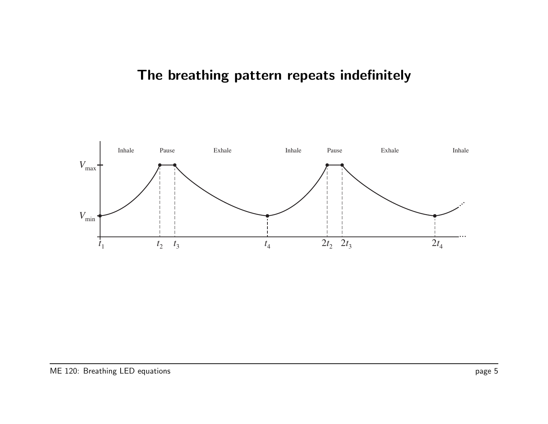# The breathing pattern repeats indefinitely

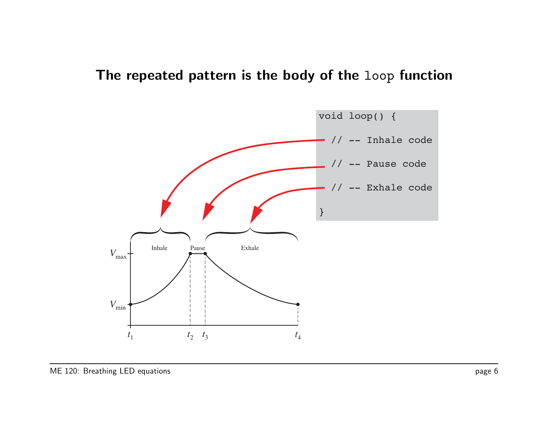## The repeated pattern is the body of the loop function

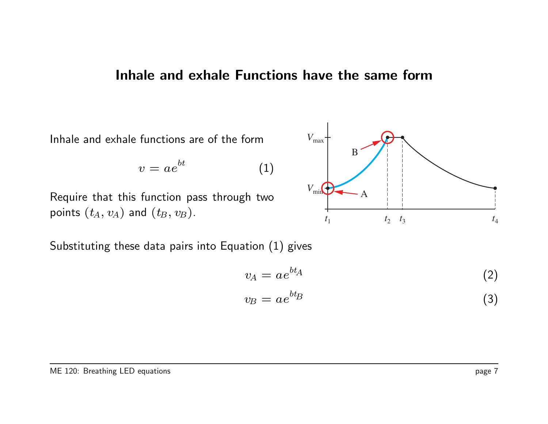#### Inhale and exhale Functions have the same form

Inhale and exhale functions are of the form

$$
v = ae^{bt} \tag{1}
$$

Require that this function pass through two points  $(t_A, v_A)$  and  $(t_B, v_B)$ .



Substituting these data pairs into Equation (1) gives

$$
v_A = a e^{bt_A} \tag{2}
$$

$$
v_B = a e^{bt_B} \tag{3}
$$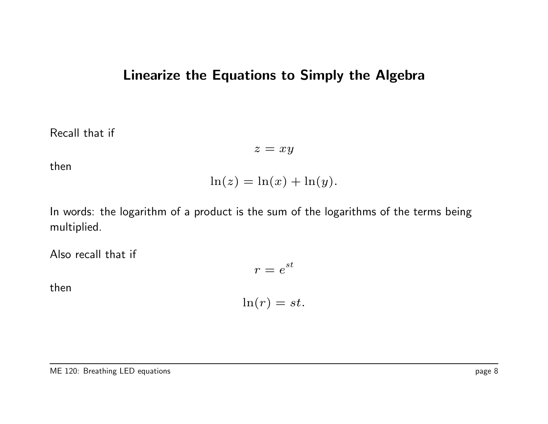## Linearize the Equations to Simply the Algebra

Recall that if

 $z = xy$ 

then

$$
\ln(z) = \ln(x) + \ln(y).
$$

In words: the logarithm of a product is the sum of the logarithms of the terms being multiplied.

Also recall that if

 $r=e^{st}$ 

then

$$
\ln(r) = st.
$$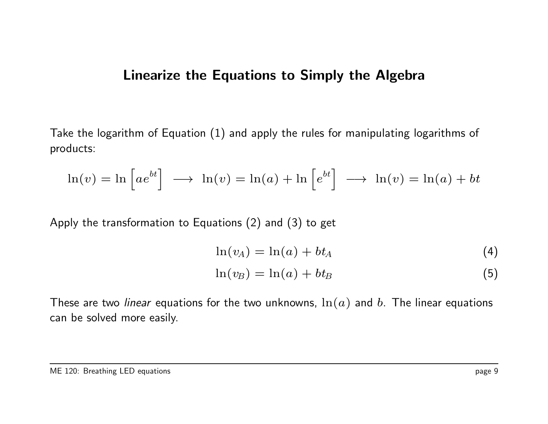### Linearize the Equations to Simply the Algebra

Take the logarithm of Equation (1) and apply the rules for manipulating logarithms of products:

$$
\ln(v) = \ln \left[ a e^{bt} \right] \longrightarrow \ln(v) = \ln(a) + \ln \left[ e^{bt} \right] \longrightarrow \ln(v) = \ln(a) + bt
$$

Apply the transformation to Equations (2) and (3) to get

$$
\ln(v_A) = \ln(a) + bt_A \tag{4}
$$

$$
\ln(v_B) = \ln(a) + bt_B \tag{5}
$$

These are two *linear* equations for the two unknowns,  $\ln(a)$  and b. The linear equations can be solved more easily.

#### ME 120: Breathing LED equations **page 9**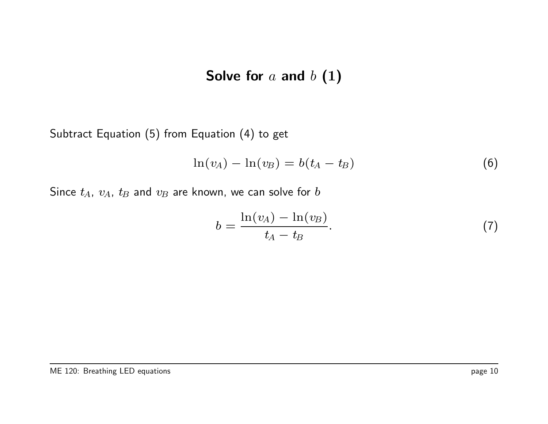# Solve for  $a$  and  $b(1)$

Subtract Equation (5) from Equation (4) to get

$$
\ln(v_A) - \ln(v_B) = b(t_A - t_B)
$$
 (6)

Since  $t_A$ ,  $v_A$ ,  $t_B$  and  $v_B$  are known, we can solve for  $b$ 

$$
b = \frac{\ln(v_A) - \ln(v_B)}{t_A - t_B}.
$$
 (7)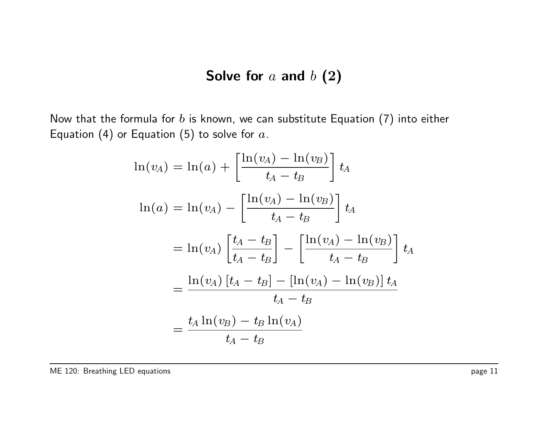# Solve for  $a$  and  $b(2)$

Now that the formula for  $b$  is known, we can substitute Equation (7) into either Equation (4) or Equation (5) to solve for  $a$ .

$$
\ln(v_A) = \ln(a) + \left[\frac{\ln(v_A) - \ln(v_B)}{t_A - t_B}\right] t_A
$$
  

$$
\ln(a) = \ln(v_A) - \left[\frac{\ln(v_A) - \ln(v_B)}{t_A - t_B}\right] t_A
$$
  

$$
= \ln(v_A) \left[\frac{t_A - t_B}{t_A - t_B}\right] - \left[\frac{\ln(v_A) - \ln(v_B)}{t_A - t_B}\right] t_A
$$
  

$$
= \frac{\ln(v_A) [t_A - t_B] - [\ln(v_A) - \ln(v_B)] t_A}{t_A - t_B}
$$
  

$$
= \frac{t_A \ln(v_B) - t_B \ln(v_A)}{t_A - t_B}
$$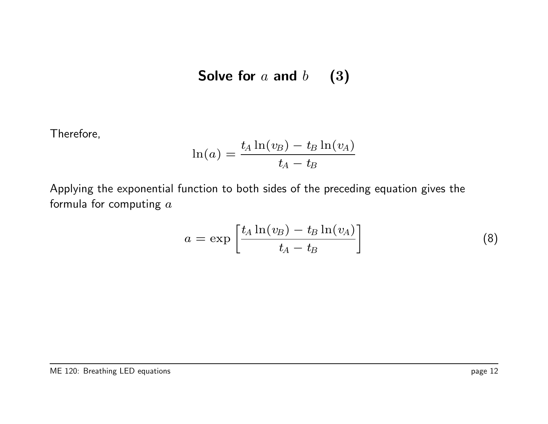Solve for 
$$
a
$$
 and  $b$  (3)

Therefore,

$$
\ln(a)=\frac{t_A\ln(v_B)-t_B\ln(v_A)}{t_A-t_B}
$$

Applying the exponential function to both sides of the preceding equation gives the formula for computing  $a$ 

$$
a = \exp\left[\frac{t_A \ln(v_B) - t_B \ln(v_A)}{t_A - t_B}\right]
$$
 (8)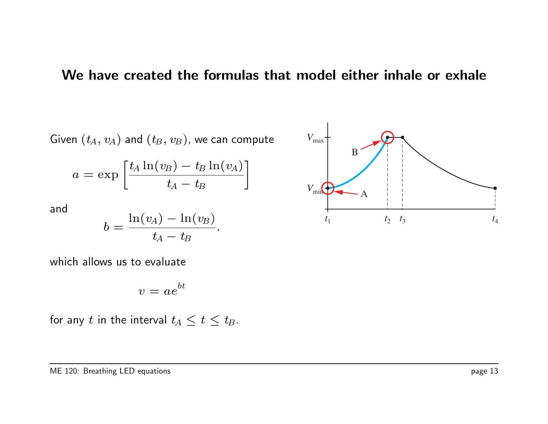#### We have created the formulas that model either inhale or exhale

Given  $(t_A, v_A)$  and  $(t_B, v_B)$ , we can compute

$$
a = \exp\left[\frac{t_A \ln(v_B) - t_B \ln(v_A)}{t_A - t_B}\right]
$$

and

$$
b=\frac{\ln(v_A)-\ln(v_B)}{t_A-t_B}.
$$

which allows us to evaluate

$$
v = ae^{bt}
$$

for any t in the interval  $t_A \leq t \leq t_B$ .

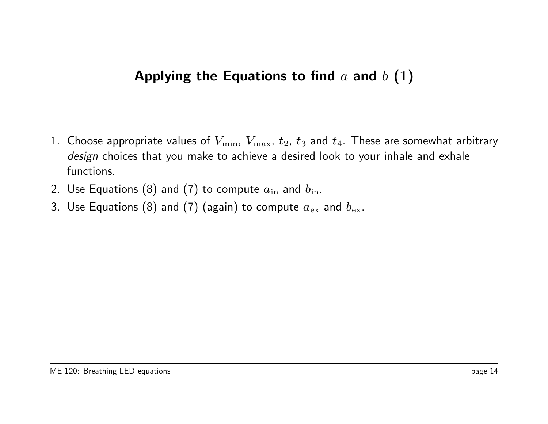# Applying the Equations to find  $a$  and  $b(1)$

- 1. Choose appropriate values of  $V_{\rm min}$ ,  $V_{\rm max}$ ,  $t_2$ ,  $t_3$  and  $t_4$ . These are somewhat arbitrary design choices that you make to achieve a desired look to your inhale and exhale functions.
- 2. Use Equations (8) and (7) to compute  $a_{\text{in}}$  and  $b_{\text{in}}$ .
- 3. Use Equations (8) and (7) (again) to compute  $a_{\rm ex}$  and  $b_{\rm ex}$ .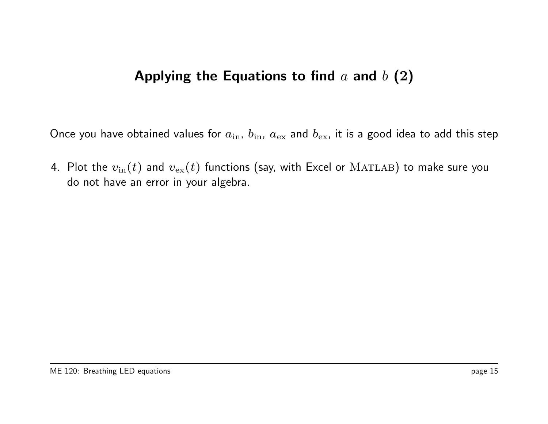# Applying the Equations to find  $a$  and  $b(2)$

Once you have obtained values for  $a_{\rm in}$ ,  $b_{\rm in}$ ,  $a_{\rm ex}$  and  $b_{\rm ex}$ , it is a good idea to add this step

4. Plot the  $v_{\text{in}}(t)$  and  $v_{\text{ex}}(t)$  functions (say, with Excel or  $\text{MATLAB}$ ) to make sure you do not have an error in your algebra.